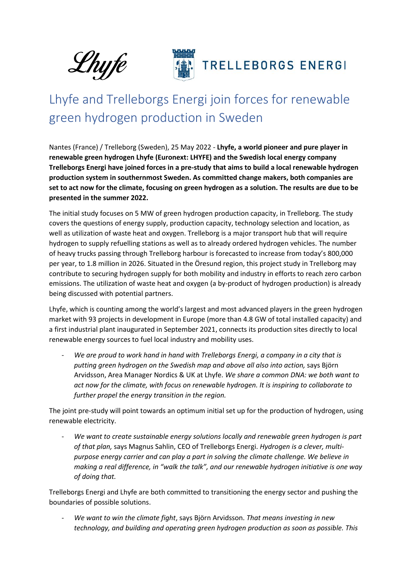



## **TRELLEBORGS ENERGI**

## Lhyfe and Trelleborgs Energi join forces for renewable green hydrogen production in Sweden

Nantes (France) / Trelleborg (Sweden), 25 May 2022 - **Lhyfe, a world pioneer and pure player in renewable green hydrogen Lhyfe (Euronext: LHYFE) and the Swedish local energy company Trelleborgs Energi have joined forces in a pre-study that aims to build a local renewable hydrogen production system in southernmost Sweden. As committed change makers, both companies are set to act now for the climate, focusing on green hydrogen as a solution. The results are due to be presented in the summer 2022.**

The initial study focuses on 5 MW of green hydrogen production capacity, in Trelleborg. The study covers the questions of energy supply, production capacity, technology selection and location, as well as utilization of waste heat and oxygen. Trelleborg is a major transport hub that will require hydrogen to supply refuelling stations as well as to already ordered hydrogen vehicles. The number of heavy trucks passing through Trelleborg harbour is forecasted to increase from today's 800,000 per year, to 1.8 million in 2026. Situated in the Öresund region, this project study in Trelleborg may contribute to securing hydrogen supply for both mobility and industry in efforts to reach zero carbon emissions. The utilization of waste heat and oxygen (a by-product of hydrogen production) is already being discussed with potential partners.

Lhyfe, which is counting among the world's largest and most advanced players in the green hydrogen market with 93 projects in development in Europe (more than 4.8 GW of total installed capacity) and a first industrial plant inaugurated in September 2021, connects its production sites directly to local renewable energy sources to fuel local industry and mobility uses.

We are proud to work hand in hand with Trelleborgs Energi, a company in a city that is *putting green hydrogen on the Swedish map and above all also into action,* says Björn Arvidsson, Area Manager Nordics & UK at Lhyfe. *We share a common DNA: we both want to act now for the climate, with focus on renewable hydrogen. It is inspiring to collaborate to further propel the energy transition in the region.* 

The joint pre-study will point towards an optimum initial set up for the production of hydrogen, using renewable electricity.

- *We want to create sustainable energy solutions locally and renewable green hydrogen is part of that plan,* says Magnus Sahlin, CEO of Trelleborgs Energi. *Hydrogen is a clever, multipurpose energy carrier and can play a part in solving the climate challenge. We believe in making a real difference, in "walk the talk", and our renewable hydrogen initiative is one way of doing that.*

Trelleborgs Energi and Lhyfe are both committed to transitioning the energy sector and pushing the boundaries of possible solutions.

- *We want to win the climate fight*, says Björn Arvidsson. *That means investing in new technology, and building and operating green hydrogen production as soon as possible. This*